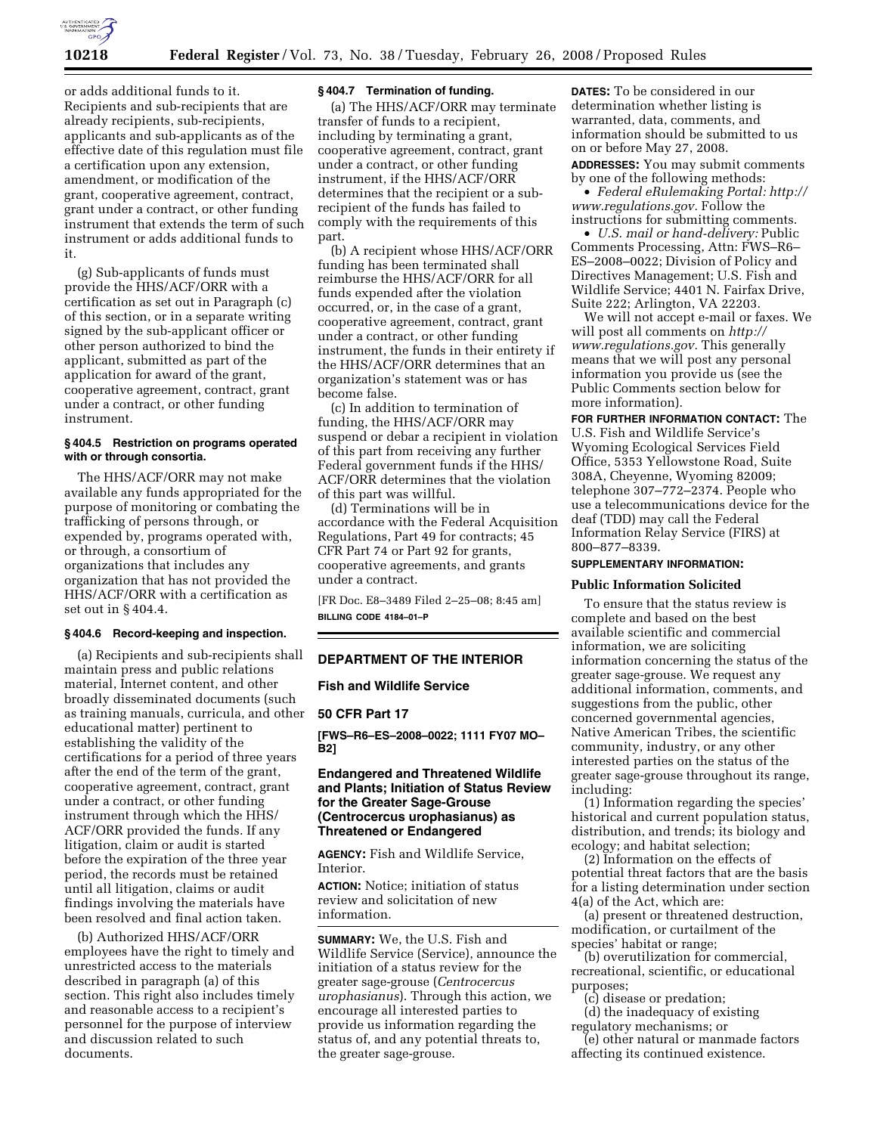

or adds additional funds to it. Recipients and sub-recipients that are already recipients, sub-recipients, applicants and sub-applicants as of the effective date of this regulation must file a certification upon any extension, amendment, or modification of the grant, cooperative agreement, contract, grant under a contract, or other funding instrument that extends the term of such instrument or adds additional funds to it.

(g) Sub-applicants of funds must provide the HHS/ACF/ORR with a certification as set out in Paragraph (c) of this section, or in a separate writing signed by the sub-applicant officer or other person authorized to bind the applicant, submitted as part of the application for award of the grant, cooperative agreement, contract, grant under a contract, or other funding instrument.

## **§ 404.5 Restriction on programs operated with or through consortia.**

The HHS/ACF/ORR may not make available any funds appropriated for the purpose of monitoring or combating the trafficking of persons through, or expended by, programs operated with, or through, a consortium of organizations that includes any organization that has not provided the HHS/ACF/ORR with a certification as set out in § 404.4.

# **§ 404.6 Record-keeping and inspection.**

(a) Recipients and sub-recipients shall maintain press and public relations material, Internet content, and other broadly disseminated documents (such as training manuals, curricula, and other educational matter) pertinent to establishing the validity of the certifications for a period of three years after the end of the term of the grant, cooperative agreement, contract, grant under a contract, or other funding instrument through which the HHS/ ACF/ORR provided the funds. If any litigation, claim or audit is started before the expiration of the three year period, the records must be retained until all litigation, claims or audit findings involving the materials have been resolved and final action taken.

(b) Authorized HHS/ACF/ORR employees have the right to timely and unrestricted access to the materials described in paragraph (a) of this section. This right also includes timely and reasonable access to a recipient's personnel for the purpose of interview and discussion related to such documents.

# **§ 404.7 Termination of funding.**

(a) The HHS/ACF/ORR may terminate transfer of funds to a recipient, including by terminating a grant, cooperative agreement, contract, grant under a contract, or other funding instrument, if the HHS/ACF/ORR determines that the recipient or a subrecipient of the funds has failed to comply with the requirements of this part.

(b) A recipient whose HHS/ACF/ORR funding has been terminated shall reimburse the HHS/ACF/ORR for all funds expended after the violation occurred, or, in the case of a grant, cooperative agreement, contract, grant under a contract, or other funding instrument, the funds in their entirety if the HHS/ACF/ORR determines that an organization's statement was or has become false.

(c) In addition to termination of funding, the HHS/ACF/ORR may suspend or debar a recipient in violation of this part from receiving any further Federal government funds if the HHS/ ACF/ORR determines that the violation of this part was willful.

(d) Terminations will be in accordance with the Federal Acquisition Regulations, Part 49 for contracts; 45 CFR Part 74 or Part 92 for grants, cooperative agreements, and grants under a contract.

[FR Doc. E8–3489 Filed 2–25–08; 8:45 am] **BILLING CODE 4184–01–P** 

# **DEPARTMENT OF THE INTERIOR**

# **Fish and Wildlife Service**

### **50 CFR Part 17**

**[FWS–R6–ES–2008–0022; 1111 FY07 MO– B2]** 

# **Endangered and Threatened Wildlife and Plants; Initiation of Status Review for the Greater Sage-Grouse (Centrocercus urophasianus) as Threatened or Endangered**

**AGENCY:** Fish and Wildlife Service, Interior.

**ACTION:** Notice; initiation of status review and solicitation of new information.

**SUMMARY:** We, the U.S. Fish and Wildlife Service (Service), announce the initiation of a status review for the greater sage-grouse (*Centrocercus urophasianus*). Through this action, we encourage all interested parties to provide us information regarding the status of, and any potential threats to, the greater sage-grouse.

**DATES:** To be considered in our determination whether listing is warranted, data, comments, and information should be submitted to us on or before May 27, 2008.

**ADDRESSES:** You may submit comments by one of the following methods:

• *Federal eRulemaking Portal: http:// www.regulations.gov.* Follow the instructions for submitting comments.

• *U.S. mail or hand-delivery:* Public Comments Processing, Attn: FWS–R6– ES–2008–0022; Division of Policy and Directives Management; U.S. Fish and Wildlife Service; 4401 N. Fairfax Drive, Suite 222; Arlington, VA 22203.

We will not accept e-mail or faxes. We will post all comments on *http:// www.regulations.gov.* This generally means that we will post any personal information you provide us (see the Public Comments section below for more information).

**FOR FURTHER INFORMATION CONTACT:** The U.S. Fish and Wildlife Service's Wyoming Ecological Services Field Office, 5353 Yellowstone Road, Suite 308A, Cheyenne, Wyoming 82009; telephone 307–772–2374. People who use a telecommunications device for the deaf (TDD) may call the Federal Information Relay Service (FIRS) at 800–877–8339.

# **SUPPLEMENTARY INFORMATION:**

#### **Public Information Solicited**

To ensure that the status review is complete and based on the best available scientific and commercial information, we are soliciting information concerning the status of the greater sage-grouse. We request any additional information, comments, and suggestions from the public, other concerned governmental agencies, Native American Tribes, the scientific community, industry, or any other interested parties on the status of the greater sage-grouse throughout its range, including:

(1) Information regarding the species' historical and current population status, distribution, and trends; its biology and ecology; and habitat selection;

(2) Information on the effects of potential threat factors that are the basis for a listing determination under section 4(a) of the Act, which are:

(a) present or threatened destruction, modification, or curtailment of the species' habitat or range;

(b) overutilization for commercial, recreational, scientific, or educational purposes;

(c) disease or predation;

(d) the inadequacy of existing regulatory mechanisms; or

(e) other natural or manmade factors affecting its continued existence.